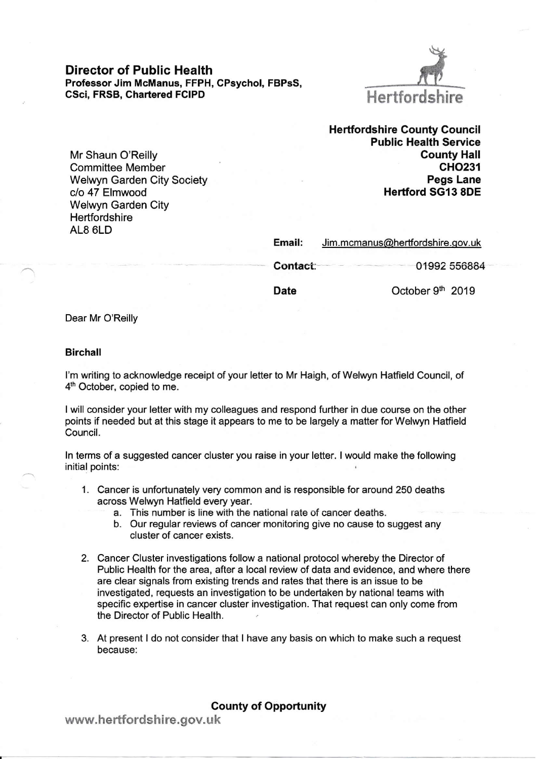Director of Public Health Professor Jim McManus, FFPH, CPsychol, FBPSS, CSci, FRSB, Chartered FCIPD



Mr Shaun O'Reilly Committee Member Welwyn Garden City Society c/o 47 Elmwood Welwyn Garden City **Hertfordshire** AL8 6LD

Hertfordshire County Council Public Health Service County Hall cHo231 Pegs Lane Hertford SGI3 8DE

| Email:   | Jim.mcmanus@hertfordshire.gov.uk |              |
|----------|----------------------------------|--------------|
| Contact: |                                  | 01992 556884 |

Date

October 9<sup>th</sup> 2019

Dear Mr O'Reilly

## Birchall

l'm writing to acknowledge receipt of your letter to Mr Haigh, of Welwyn Hatfield Council, of 4<sup>th</sup> October, copied to me.

I will consider your letter with my colleagues and respond further in due course on the other points if needed but at this stage it appears to me to be largely a matter for Welwyn Hatfield Council.

ln terms of a suggested cancer cluster you raise in your letter. I would make the following initial points:

- <sup>1</sup>. Cancer is unfortunately very common and is responsible for around 250 deaths across Welwyn Hatfield every year.
	- a. This number is line wiih ihe national rate of cancer deaths.
	- b. Our regular reviews of cancer monitoring give no cause to suggest any cluster of cancer exists.
- 2. Cancer Cluster investigations follow a national protocol whereby the Director of Public Health for the area, after a local review of data and evidence, and where there are clear signals from existing trends and rates that there is an issue to be investigated, requests an investigation to be undertaken by national teams with specific expertise in cancer cluster investigation. That request can only come from the Director of Public Health.
- 3. At present ldo not consider that I have any basis on which to make such a request because:

County of Opportunity

www.hertfordshire.gov.uk